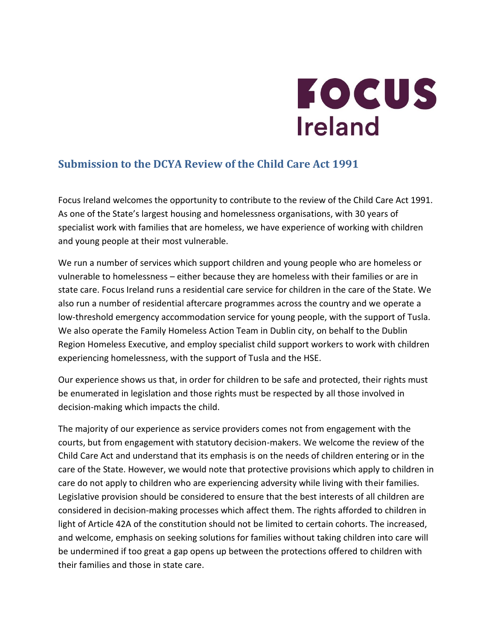

# **Submission to the DCYA Review of the Child Care Act 1991**

Focus Ireland welcomes the opportunity to contribute to the review of the Child Care Act 1991. As one of the State's largest housing and homelessness organisations, with 30 years of specialist work with families that are homeless, we have experience of working with children and young people at their most vulnerable.

We run a number of services which support children and young people who are homeless or vulnerable to homelessness – either because they are homeless with their families or are in state care. Focus Ireland runs a residential care service for children in the care of the State. We also run a number of residential aftercare programmes across the country and we operate a low-threshold emergency accommodation service for young people, with the support of Tusla. We also operate the Family Homeless Action Team in Dublin city, on behalf to the Dublin Region Homeless Executive, and employ specialist child support workers to work with children experiencing homelessness, with the support of Tusla and the HSE.

Our experience shows us that, in order for children to be safe and protected, their rights must be enumerated in legislation and those rights must be respected by all those involved in decision-making which impacts the child.

The majority of our experience as service providers comes not from engagement with the courts, but from engagement with statutory decision-makers. We welcome the review of the Child Care Act and understand that its emphasis is on the needs of children entering or in the care of the State. However, we would note that protective provisions which apply to children in care do not apply to children who are experiencing adversity while living with their families. Legislative provision should be considered to ensure that the best interests of all children are considered in decision-making processes which affect them. The rights afforded to children in light of Article 42A of the constitution should not be limited to certain cohorts. The increased, and welcome, emphasis on seeking solutions for families without taking children into care will be undermined if too great a gap opens up between the protections offered to children with their families and those in state care.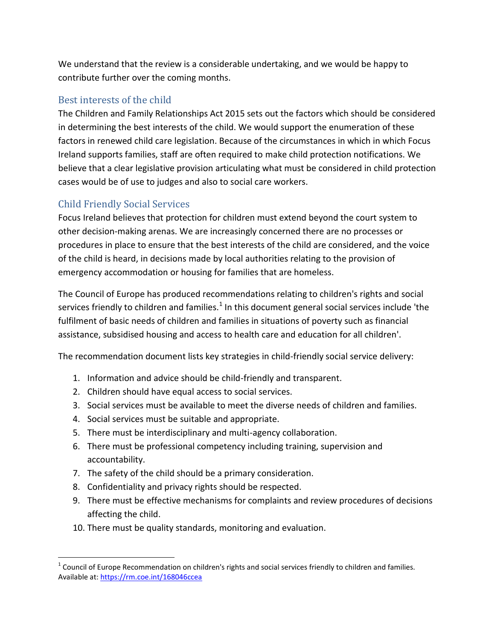We understand that the review is a considerable undertaking, and we would be happy to contribute further over the coming months.

## Best interests of the child

The Children and Family Relationships Act 2015 sets out the factors which should be considered in determining the best interests of the child. We would support the enumeration of these factors in renewed child care legislation. Because of the circumstances in which in which Focus Ireland supports families, staff are often required to make child protection notifications. We believe that a clear legislative provision articulating what must be considered in child protection cases would be of use to judges and also to social care workers.

# Child Friendly Social Services

 $\overline{a}$ 

Focus Ireland believes that protection for children must extend beyond the court system to other decision-making arenas. We are increasingly concerned there are no processes or procedures in place to ensure that the best interests of the child are considered, and the voice of the child is heard, in decisions made by local authorities relating to the provision of emergency accommodation or housing for families that are homeless.

The Council of Europe has produced recommendations relating to children's rights and social services friendly to children and families.<sup>1</sup> In this document general social services include 'the fulfilment of basic needs of children and families in situations of poverty such as financial assistance, subsidised housing and access to health care and education for all children'.

The recommendation document lists key strategies in child-friendly social service delivery:

- 1. Information and advice should be child-friendly and transparent.
- 2. Children should have equal access to social services.
- 3. Social services must be available to meet the diverse needs of children and families.
- 4. Social services must be suitable and appropriate.
- 5. There must be interdisciplinary and multi-agency collaboration.
- 6. There must be professional competency including training, supervision and accountability.
- 7. The safety of the child should be a primary consideration.
- 8. Confidentiality and privacy rights should be respected.
- 9. There must be effective mechanisms for complaints and review procedures of decisions affecting the child.
- 10. There must be quality standards, monitoring and evaluation.

 $1$  Council of Europe Recommendation on children's rights and social services friendly to children and families. Available at:<https://rm.coe.int/168046ccea>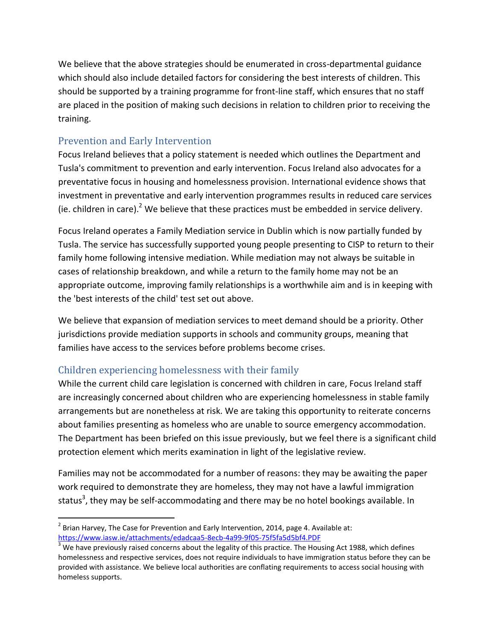We believe that the above strategies should be enumerated in cross-departmental guidance which should also include detailed factors for considering the best interests of children. This should be supported by a training programme for front-line staff, which ensures that no staff are placed in the position of making such decisions in relation to children prior to receiving the training.

## Prevention and Early Intervention

Focus Ireland believes that a policy statement is needed which outlines the Department and Tusla's commitment to prevention and early intervention. Focus Ireland also advocates for a preventative focus in housing and homelessness provision. International evidence shows that investment in preventative and early intervention programmes results in reduced care services (ie. children in care).<sup>2</sup> We believe that these practices must be embedded in service delivery.

Focus Ireland operates a Family Mediation service in Dublin which is now partially funded by Tusla. The service has successfully supported young people presenting to CISP to return to their family home following intensive mediation. While mediation may not always be suitable in cases of relationship breakdown, and while a return to the family home may not be an appropriate outcome, improving family relationships is a worthwhile aim and is in keeping with the 'best interests of the child' test set out above.

We believe that expansion of mediation services to meet demand should be a priority. Other jurisdictions provide mediation supports in schools and community groups, meaning that families have access to the services before problems become crises.

# Children experiencing homelessness with their family

While the current child care legislation is concerned with children in care, Focus Ireland staff are increasingly concerned about children who are experiencing homelessness in stable family arrangements but are nonetheless at risk. We are taking this opportunity to reiterate concerns about families presenting as homeless who are unable to source emergency accommodation. The Department has been briefed on this issue previously, but we feel there is a significant child protection element which merits examination in light of the legislative review.

Families may not be accommodated for a number of reasons: they may be awaiting the paper work required to demonstrate they are homeless, they may not have a lawful immigration status<sup>3</sup>, they may be self-accommodating and there may be no hotel bookings available. In

 $\overline{a}$  $^2$  Brian Harvey, The Case for Prevention and Early Intervention, 2014, page 4. Available at: <https://www.iasw.ie/attachments/edadcaa5-8ecb-4a99-9f05-75f5fa5d5bf4.PDF>

 $3$  We have previously raised concerns about the legality of this practice. The Housing Act 1988, which defines homelessness and respective services, does not require individuals to have immigration status before they can be provided with assistance. We believe local authorities are conflating requirements to access social housing with homeless supports.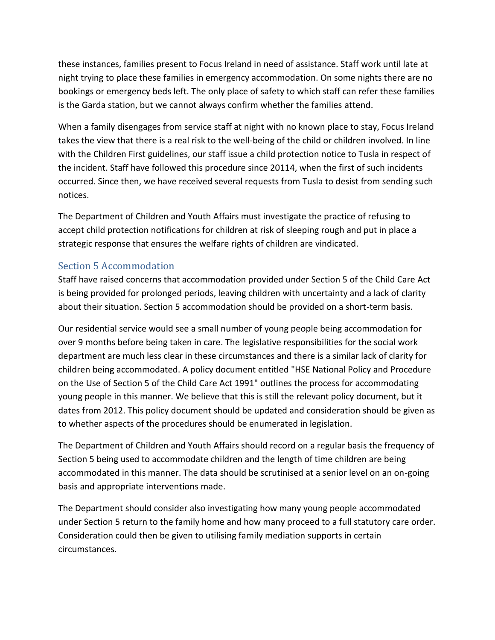these instances, families present to Focus Ireland in need of assistance. Staff work until late at night trying to place these families in emergency accommodation. On some nights there are no bookings or emergency beds left. The only place of safety to which staff can refer these families is the Garda station, but we cannot always confirm whether the families attend.

When a family disengages from service staff at night with no known place to stay, Focus Ireland takes the view that there is a real risk to the well-being of the child or children involved. In line with the Children First guidelines, our staff issue a child protection notice to Tusla in respect of the incident. Staff have followed this procedure since 20114, when the first of such incidents occurred. Since then, we have received several requests from Tusla to desist from sending such notices.

The Department of Children and Youth Affairs must investigate the practice of refusing to accept child protection notifications for children at risk of sleeping rough and put in place a strategic response that ensures the welfare rights of children are vindicated.

## Section 5 Accommodation

Staff have raised concerns that accommodation provided under Section 5 of the Child Care Act is being provided for prolonged periods, leaving children with uncertainty and a lack of clarity about their situation. Section 5 accommodation should be provided on a short-term basis.

Our residential service would see a small number of young people being accommodation for over 9 months before being taken in care. The legislative responsibilities for the social work department are much less clear in these circumstances and there is a similar lack of clarity for children being accommodated. A policy document entitled "HSE National Policy and Procedure on the Use of Section 5 of the Child Care Act 1991" outlines the process for accommodating young people in this manner. We believe that this is still the relevant policy document, but it dates from 2012. This policy document should be updated and consideration should be given as to whether aspects of the procedures should be enumerated in legislation.

The Department of Children and Youth Affairs should record on a regular basis the frequency of Section 5 being used to accommodate children and the length of time children are being accommodated in this manner. The data should be scrutinised at a senior level on an on-going basis and appropriate interventions made.

The Department should consider also investigating how many young people accommodated under Section 5 return to the family home and how many proceed to a full statutory care order. Consideration could then be given to utilising family mediation supports in certain circumstances.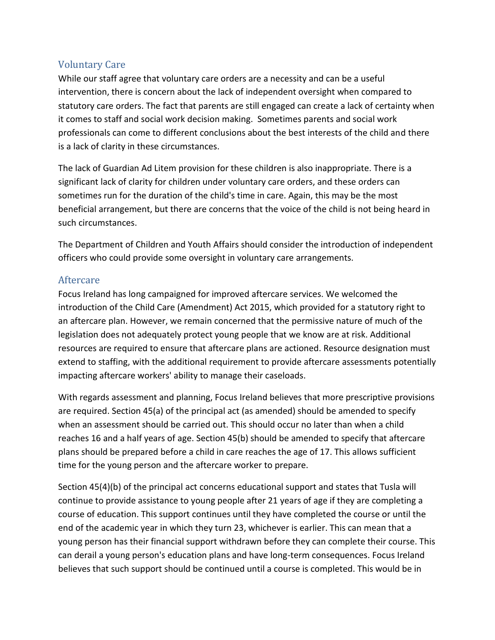#### Voluntary Care

While our staff agree that voluntary care orders are a necessity and can be a useful intervention, there is concern about the lack of independent oversight when compared to statutory care orders. The fact that parents are still engaged can create a lack of certainty when it comes to staff and social work decision making. Sometimes parents and social work professionals can come to different conclusions about the best interests of the child and there is a lack of clarity in these circumstances.

The lack of Guardian Ad Litem provision for these children is also inappropriate. There is a significant lack of clarity for children under voluntary care orders, and these orders can sometimes run for the duration of the child's time in care. Again, this may be the most beneficial arrangement, but there are concerns that the voice of the child is not being heard in such circumstances.

The Department of Children and Youth Affairs should consider the introduction of independent officers who could provide some oversight in voluntary care arrangements.

#### Aftercare

Focus Ireland has long campaigned for improved aftercare services. We welcomed the introduction of the Child Care (Amendment) Act 2015, which provided for a statutory right to an aftercare plan. However, we remain concerned that the permissive nature of much of the legislation does not adequately protect young people that we know are at risk. Additional resources are required to ensure that aftercare plans are actioned. Resource designation must extend to staffing, with the additional requirement to provide aftercare assessments potentially impacting aftercare workers' ability to manage their caseloads.

With regards assessment and planning, Focus Ireland believes that more prescriptive provisions are required. Section 45(a) of the principal act (as amended) should be amended to specify when an assessment should be carried out. This should occur no later than when a child reaches 16 and a half years of age. Section 45(b) should be amended to specify that aftercare plans should be prepared before a child in care reaches the age of 17. This allows sufficient time for the young person and the aftercare worker to prepare.

Section 45(4)(b) of the principal act concerns educational support and states that Tusla will continue to provide assistance to young people after 21 years of age if they are completing a course of education. This support continues until they have completed the course or until the end of the academic year in which they turn 23, whichever is earlier. This can mean that a young person has their financial support withdrawn before they can complete their course. This can derail a young person's education plans and have long-term consequences. Focus Ireland believes that such support should be continued until a course is completed. This would be in